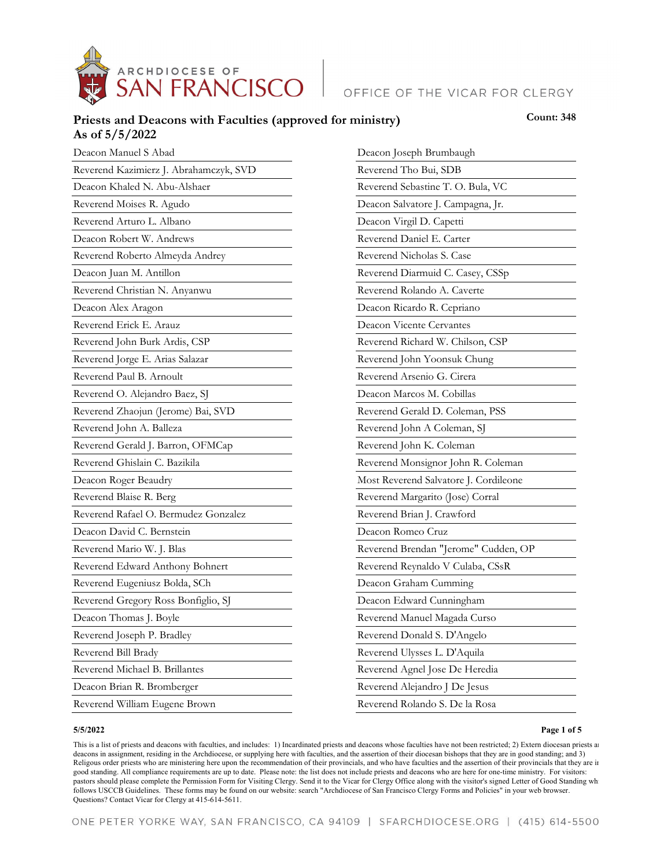

# OFFICE OF THE VICAR FOR CLERGY

## Priests and Deacons with Faculties (approved for ministry) **Count: 348 As of 5/5/2022**

| Deacon Manuel S Abad                   | Deacon Joseph Brumbaugh               |
|----------------------------------------|---------------------------------------|
| Reverend Kazimierz J. Abrahamczyk, SVD | Reverend Tho Bui, SDB                 |
| Deacon Khaled N. Abu-Alshaer           | Reverend Sebastine T. O. Bula, VC     |
| Reverend Moises R. Agudo               | Deacon Salvatore J. Campagna, Jr.     |
| Reverend Arturo L. Albano              | Deacon Virgil D. Capetti              |
| Deacon Robert W. Andrews               | Reverend Daniel E. Carter             |
| Reverend Roberto Almeyda Andrey        | Reverend Nicholas S. Case             |
| Deacon Juan M. Antillon                | Reverend Diarmuid C. Casey, CSSp      |
| Reverend Christian N. Anyanwu          | Reverend Rolando A. Caverte           |
| Deacon Alex Aragon                     | Deacon Ricardo R. Cepriano            |
| Reverend Erick E. Arauz                | Deacon Vicente Cervantes              |
| Reverend John Burk Ardis, CSP          | Reverend Richard W. Chilson, CSP      |
| Reverend Jorge E. Arias Salazar        | Reverend John Yoonsuk Chung           |
| Reverend Paul B. Arnoult               | Reverend Arsenio G. Cirera            |
| Reverend O. Alejandro Baez, SJ         | Deacon Marcos M. Cobillas             |
| Reverend Zhaojun (Jerome) Bai, SVD     | Reverend Gerald D. Coleman, PSS       |
| Reverend John A. Balleza               | Reverend John A Coleman, SJ           |
| Reverend Gerald J. Barron, OFMCap      | Reverend John K. Coleman              |
| Reverend Ghislain C. Bazikila          | Reverend Monsignor John R. Coleman    |
| Deacon Roger Beaudry                   | Most Reverend Salvatore J. Cordileone |
| Reverend Blaise R. Berg                | Reverend Margarito (Jose) Corral      |
| Reverend Rafael O. Bermudez Gonzalez   | Reverend Brian J. Crawford            |
| Deacon David C. Bernstein              | Deacon Romeo Cruz                     |
| Reverend Mario W. J. Blas              | Reverend Brendan "Jerome" Cudden, OP  |
| Reverend Edward Anthony Bohnert        | Reverend Reynaldo V Culaba, CSsR      |
| Reverend Eugeniusz Bolda, SCh          | Deacon Graham Cumming                 |
| Reverend Gregory Ross Bonfiglio, SJ    | Deacon Edward Cunningham              |
| Deacon Thomas J. Boyle                 | Reverend Manuel Magada Curso          |
| Reverend Joseph P. Bradley             | Reverend Donald S. D'Angelo           |
| Reverend Bill Brady                    | Reverend Ulysses L. D'Aquila          |
| Reverend Michael B. Brillantes         | Reverend Agnel Jose De Heredia        |
| Deacon Brian R. Bromberger             | Reverend Alejandro J De Jesus         |
| Reverend William Eugene Brown          | Reverend Rolando S. De la Rosa        |

#### **5/5/2022**

**Page 1 of 5**

This is a list of priests and deacons with faculties, and includes: 1) Incardinated priests and deacons whose faculties have not been restricted; 2) Extern diocesan priests an deacons in assignment, residing in the Archdiocese, or supplying here with faculties, and the assertion of their diocesan bishops that they are in good standing; and 3) Religous order priests who are ministering here upon the recommendation of their provincials, and who have faculties and the assertion of their provincials that they are in good standing. All compliance requirements are up to date. Please note: the list does not include priests and deacons who are here for one-time ministry. For visitors: pastors should please complete the Permission Form for Visiting Clergy. Send it to the Vicar for Clergy Office along with the visitor's signed Letter of Good Standing wh follows USCCB Guidelines. These forms may be found on our website: search "Archdiocese of San Francisco Clergy Forms and Policies" in your web browser. Questions? Contact Vicar for Clergy at 415-614-5611.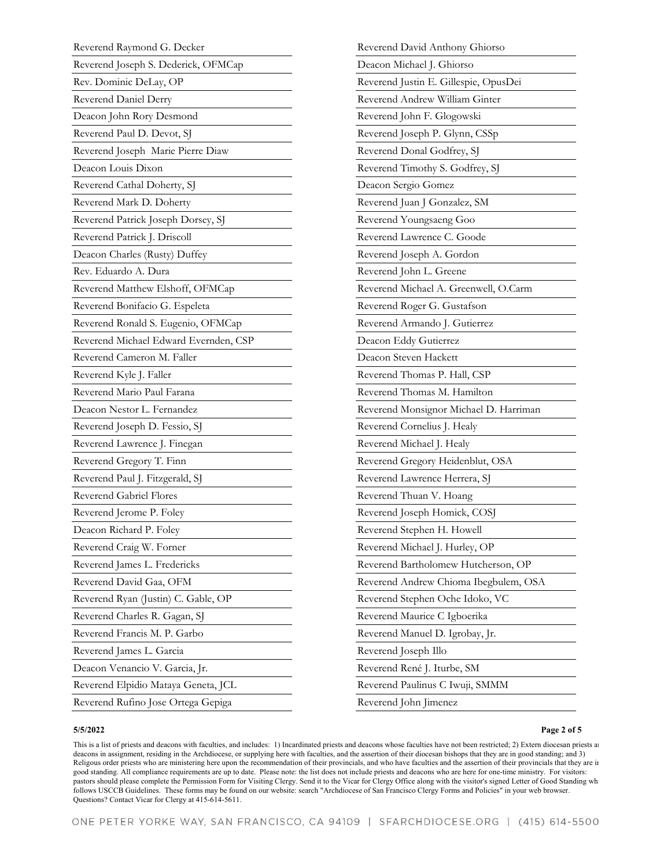| Reverend Raymond G. Decker            | Reverend David Anthony G     |
|---------------------------------------|------------------------------|
| Reverend Joseph S. Dederick, OFMCap   | Deacon Michael J. Ghiorso    |
| Rev. Dominic DeLay, OP                | Reverend Justin E. Gillespie |
| Reverend Daniel Derry                 | Reverend Andrew William O    |
| Deacon John Rory Desmond              | Reverend John F. Glogowsl    |
| Reverend Paul D. Devot, SJ            | Reverend Joseph P. Glynn,    |
| Reverend Joseph Marie Pierre Diaw     | Reverend Donal Godfrey, S    |
| Deacon Louis Dixon                    | Reverend Timothy S. Godfr    |
| Reverend Cathal Doherty, SJ           | Deacon Sergio Gomez          |
| Reverend Mark D. Doherty              | Reverend Juan J Gonzalez, :  |
| Reverend Patrick Joseph Dorsey, SJ    | Reverend Youngsaeng Goo      |
| Reverend Patrick J. Driscoll          | Reverend Lawrence C. Goo     |
| Deacon Charles (Rusty) Duffey         | Reverend Joseph A. Gordor    |
| Rev. Eduardo A. Dura                  | Reverend John L. Greene      |
| Reverend Matthew Elshoff, OFMCap      | Reverend Michael A. Green    |
| Reverend Bonifacio G. Espeleta        | Reverend Roger G. Gustafs    |
| Reverend Ronald S. Eugenio, OFMCap    | Reverend Armando J. Gutie    |
| Reverend Michael Edward Evernden, CSP | Deacon Eddy Gutierrez        |
| Reverend Cameron M. Faller            | Deacon Steven Hackett        |
| Reverend Kyle J. Faller               | Reverend Thomas P. Hall, O   |
| Reverend Mario Paul Farana            | Reverend Thomas M. Hami      |
| Deacon Nestor L. Fernandez            | Reverend Monsignor Micha     |
| Reverend Joseph D. Fessio, SJ         | Reverend Cornelius J. Healy  |
| Reverend Lawrence J. Finegan          | Reverend Michael J. Healy    |
| Reverend Gregory T. Finn              | Reverend Gregory Heidenb.    |
| Reverend Paul J. Fitzgerald, SJ       | Reverend Lawrence Herrera    |
| Reverend Gabriel Flores               | Reverend Thuan V. Hoang      |
| Reverend Jerome P. Foley              | Reverend Joseph Homick, O    |
| Deacon Richard P. Foley               | Reverend Stephen H. Howe     |
| Reverend Craig W. Forner              | Reverend Michael J. Hurley,  |
| Reverend James L. Fredericks          | Reverend Bartholomew Hu      |
| Reverend David Gaa, OFM               | Reverend Andrew Chioma I     |
| Reverend Ryan (Justin) C. Gable, OP   | Reverend Stephen Oche Ido    |
| Reverend Charles R. Gagan, SJ         | Reverend Maurice C Igboer    |
| Reverend Francis M. P. Garbo          | Reverend Manuel D. Igroba    |
| Reverend James L. Garcia              | Reverend Joseph Illo         |
| Deacon Venancio V. Garcia, Jr.        | Reverend René J. Iturbe, SM  |
| Reverend Elpidio Mataya Geneta, JCL   | Reverend Paulinus C Iwuji,   |
| Reverend Rufino Jose Ortega Gepiga    | Reverend John Jimenez        |
|                                       |                              |

# dhiorso e, OpusDei Ginter Reverend John F. Glogowski CSSp Reverend Donal Godfrey, SJ rey, SJ Reverend Juan J Gonzalez, SM Reverend Lawrence C. Goode Reverend Joseph A. Gordon well, O.Carm Reverend Roger G. Gustafson errez Reverend Thomas P. Hall, CSP lton el D. Harriman Reverend Cornelius J. Healy lut, OSA l, SJ COSJ Reverend Stephen H. Howell  $OP$ tcherson, OP Ibegbulem, OSA oko, VC Reverend Maurice C Igboerika ıy, Jr. Reverend René J. Iturbe, SM SMMM

#### **5/5/2022**

#### **Page 2 of 5**

This is a list of priests and deacons with faculties, and includes: 1) Incardinated priests and deacons whose faculties have not been restricted; 2) Extern diocesan priests an deacons in assignment, residing in the Archdiocese, or supplying here with faculties, and the assertion of their diocesan bishops that they are in good standing; and 3) Religous order priests who are ministering here upon the recommendation of their provincials, and who have faculties and the assertion of their provincials that they are in good standing. All compliance requirements are up to date. Please note: the list does not include priests and deacons who are here for one-time ministry. For visitors: pastors should please complete the Permission Form for Visiting Clergy. Send it to the Vicar for Clergy Office along with the visitor's signed Letter of Good Standing wh follows USCCB Guidelines. These forms may be found on our website: search "Archdiocese of San Francisco Clergy Forms and Policies" in your web browser. Questions? Contact Vicar for Clergy at 415-614-5611.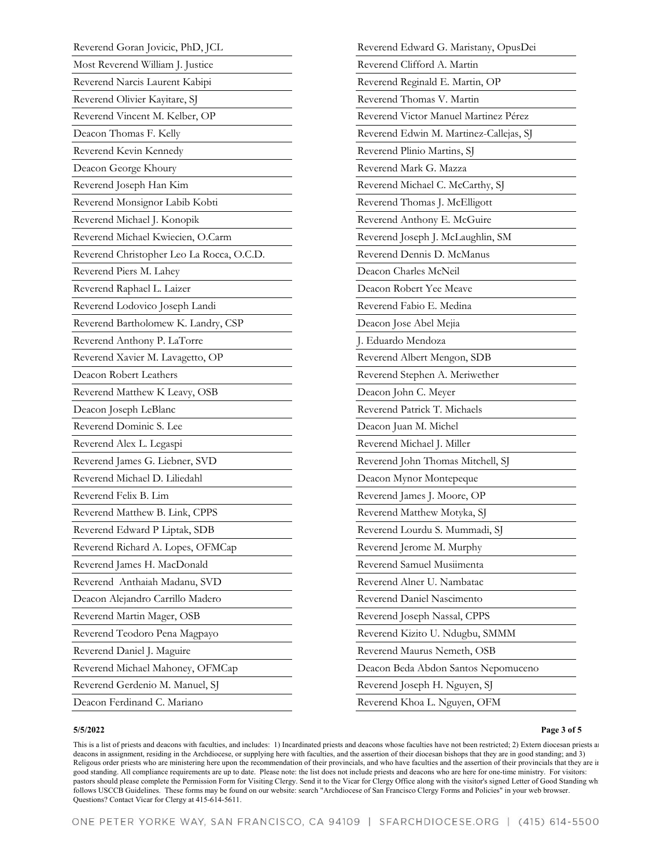| Reverend Goran Jovicic, PhD, JCL          |
|-------------------------------------------|
| Most Reverend William J. Justice          |
| Reverend Narcis Laurent Kabipi            |
| Reverend Olivier Kayitare, SJ             |
| Reverend Vincent M. Kelber, OP            |
| Deacon Thomas F. Kelly                    |
| Reverend Kevin Kennedy                    |
| Deacon George Khoury                      |
| Reverend Joseph Han Kim                   |
| Reverend Monsignor Labib Kobti            |
| Reverend Michael J. Konopik               |
| Reverend Michael Kwiecien, O.Carm         |
| Reverend Christopher Leo La Rocca, O.C.D. |
| Reverend Piers M. Lahey                   |
| Reverend Raphael L. Laizer                |
| Reverend Lodovico Joseph Landi            |
| Reverend Bartholomew K. Landry, CSP       |
| Reverend Anthony P. LaTorre               |
| Reverend Xavier M. Lavagetto, OP          |
| Deacon Robert Leathers                    |
| Reverend Matthew K Leavy, OSB             |
| Deacon Joseph LeBlanc                     |
| Reverend Dominic S. Lee                   |
| Reverend Alex L. Legaspi                  |
| Reverend James G. Liebner, SVD            |
| Reverend Michael D. Liliedahl             |
| Reverend Felix B. Lim                     |
| Reverend Matthew B. Link, CPPS            |
| Reverend Edward P Liptak, SDB             |
| Reverend Richard A. Lopes, OFMCap         |
| Reverend James H. MacDonald               |
| Reverend Anthaiah Madanu, SVD             |
| Deacon Alejandro Carrillo Madero          |
| Reverend Martin Mager, OSB                |
| Reverend Teodoro Pena Magpayo             |
| Reverend Daniel J. Maguire                |
| Reverend Michael Mahoney, OFMCap          |
| Reverend Gerdenio M. Manuel, SJ           |
| Deacon Ferdinand C. Mariano               |

| Reverend Edward G. Maristany, OpusDei   |
|-----------------------------------------|
| Reverend Clifford A. Martin             |
| Reverend Reginald E. Martin, OP         |
| Reverend Thomas V. Martin               |
| Reverend Victor Manuel Martinez Pérez   |
| Reverend Edwin M. Martinez-Callejas, SJ |
| Reverend Plinio Martins, SJ             |
| Reverend Mark G. Mazza                  |
| Reverend Michael C. McCarthy, SJ        |
| Reverend Thomas J. McElligott           |
| Reverend Anthony E. McGuire             |
| Reverend Joseph J. McLaughlin, SM       |
| Reverend Dennis D. McManus              |
| Deacon Charles McNeil                   |
| Deacon Robert Yee Meave                 |
| Reverend Fabio E. Medina                |
| Deacon Jose Abel Mejia                  |
| J. Eduardo Mendoza                      |
| Reverend Albert Mengon, SDB             |
| Reverend Stephen A. Meriwether          |
| Deacon John C. Meyer                    |
| Reverend Patrick T. Michaels            |
| Deacon Juan M. Michel                   |
| Reverend Michael J. Miller              |
| Reverend John Thomas Mitchell, SJ       |
| Deacon Mynor Montepeque                 |
| Reverend James J. Moore, OP             |
| Reverend Matthew Motyka, SJ             |
| Reverend Lourdu S. Mummadi, SJ          |
| Reverend Jerome M. Murphy               |
| Reverend Samuel Musiimenta              |
| Reverend Alner U. Nambatac              |
| Reverend Daniel Nascimento              |
| Reverend Joseph Nassal, CPPS            |
| Reverend Kizito U. Ndugbu, SMMM         |
| Reverend Maurus Nemeth, OSB             |
| Deacon Beda Abdon Santos Nepomuceno     |
| Reverend Joseph H. Nguyen, SJ           |
| Reverend Khoa L. Nguyen, OFM            |

### **5/5/2022**

#### **Page 3 of 5**

This is a list of priests and deacons with faculties, and includes: 1) Incardinated priests and deacons whose faculties have not been restricted; 2) Extern diocesan priests an deacons in assignment, residing in the Archdiocese, or supplying here with faculties, and the assertion of their diocesan bishops that they are in good standing; and 3) Religous order priests who are ministering here upon the recommendation of their provincials, and who have faculties and the assertion of their provincials that they are in good standing. All compliance requirements are up to date. Please note: the list does not include priests and deacons who are here for one-time ministry. For visitors: pastors should please complete the Permission Form for Visiting Clergy. Send it to the Vicar for Clergy Office along with the visitor's signed Letter of Good Standing whi follows USCCB Guidelines. These forms may be found on our website: search "Archdiocese of San Francisco Clergy Forms and Policies" in your web browser. Questions? Contact Vicar for Clergy at 415-614-5611.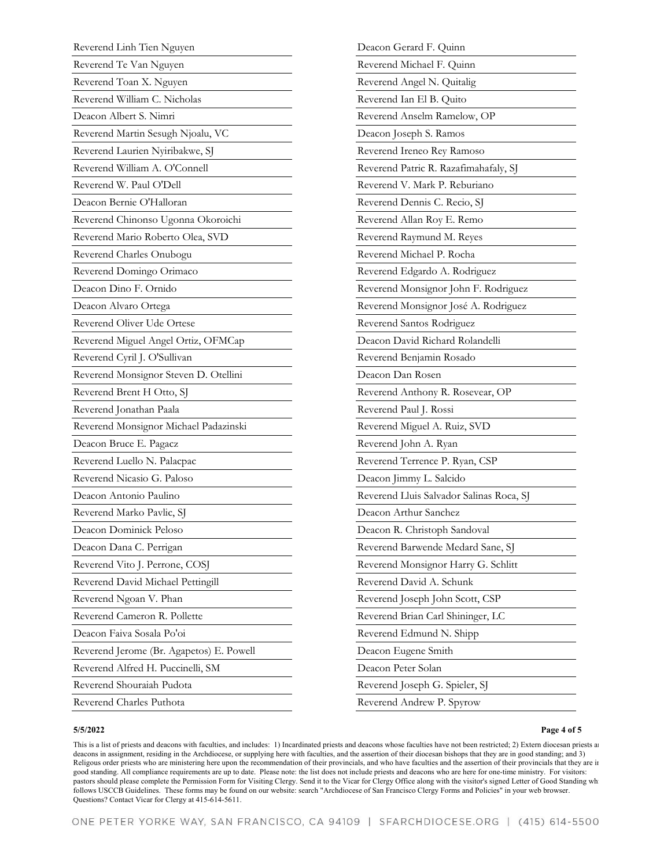| Reverend Linh Tien Nguyen                | Deacon Gerard F. Quinn                   |
|------------------------------------------|------------------------------------------|
| Reverend Te Van Nguyen                   | Reverend Michael F. Quinn                |
| Reverend Toan X. Nguyen                  | Reverend Angel N. Quitalig               |
| Reverend William C. Nicholas             | Reverend Ian El B. Quito                 |
| Deacon Albert S. Nimri                   | Reverend Anselm Ramelow, OP              |
| Reverend Martin Sesugh Njoalu, VC        | Deacon Joseph S. Ramos                   |
| Reverend Laurien Nyiribakwe, SJ          | Reverend Ireneo Rey Ramoso               |
| Reverend William A. O'Connell            | Reverend Patric R. Razafimahafaly, SJ    |
| Reverend W. Paul O'Dell                  | Reverend V. Mark P. Reburiano            |
| Deacon Bernie O'Halloran                 | Reverend Dennis C. Recio, SJ             |
| Reverend Chinonso Ugonna Okoroichi       | Reverend Allan Roy E. Remo               |
| Reverend Mario Roberto Olea, SVD         | Reverend Raymund M. Reyes                |
| Reverend Charles Onubogu                 | Reverend Michael P. Rocha                |
| Reverend Domingo Orimaco                 | Reverend Edgardo A. Rodriguez            |
| Deacon Dino F. Ornido                    | Reverend Monsignor John F. Rodriguez     |
| Deacon Alvaro Ortega                     | Reverend Monsignor José A. Rodriguez     |
| Reverend Oliver Ude Ortese               | Reverend Santos Rodriguez                |
| Reverend Miguel Angel Ortiz, OFMCap      | Deacon David Richard Rolandelli          |
| Reverend Cyril J. O'Sullivan             | Reverend Benjamin Rosado                 |
| Reverend Monsignor Steven D. Otellini    | Deacon Dan Rosen                         |
| Reverend Brent H Otto, SJ                | Reverend Anthony R. Rosevear, OP         |
| Reverend Jonathan Paala                  | Reverend Paul J. Rossi                   |
| Reverend Monsignor Michael Padazinski    | Reverend Miguel A. Ruiz, SVD             |
| Deacon Bruce E. Pagacz                   | Reverend John A. Ryan                    |
| Reverend Luello N. Palacpac              | Reverend Terrence P. Ryan, CSP           |
| Reverend Nicasio G. Paloso               | Deacon Jimmy L. Salcido                  |
| Deacon Antonio Paulino                   | Reverend Lluis Salvador Salinas Roca, SJ |
| Reverend Marko Pavlic, SJ                | Deacon Arthur Sanchez                    |
| Deacon Dominick Peloso                   | Deacon R. Christoph Sandoval             |
| Deacon Dana C. Perrigan                  | Reverend Barwende Medard Sane, SJ        |
| Reverend Vito J. Perrone, COSJ           | Reverend Monsignor Harry G. Schlitt      |
| Reverend David Michael Pettingill        | Reverend David A. Schunk                 |
| Reverend Ngoan V. Phan                   | Reverend Joseph John Scott, CSP          |
| Reverend Cameron R. Pollette             | Reverend Brian Carl Shininger, LC        |
| Deacon Faiva Sosala Po'oi                | Reverend Edmund N. Shipp                 |
| Reverend Jerome (Br. Agapetos) E. Powell | Deacon Eugene Smith                      |
| Reverend Alfred H. Puccinelli, SM        | Deacon Peter Solan                       |
| Reverend Shouraiah Pudota                | Reverend Joseph G. Spieler, SJ           |
| Reverend Charles Puthota                 | Reverend Andrew P. Spyrow                |
|                                          |                                          |

#### **Page 4 of 5**

This is a list of priests and deacons with faculties, and includes: 1) Incardinated priests and deacons whose faculties have not been restricted; 2) Extern diocesan priests an deacons in assignment, residing in the Archdiocese, or supplying here with faculties, and the assertion of their diocesan bishops that they are in good standing; and 3) Religous order priests who are ministering here upon the recommendation of their provincials, and who have faculties and the assertion of their provincials that they are in good standing. All compliance requirements are up to date. Please note: the list does not include priests and deacons who are here for one-time ministry. For visitors: pastors should please complete the Permission Form for Visiting Clergy. Send it to the Vicar for Clergy Office along with the visitor's signed Letter of Good Standing wh follows USCCB Guidelines. These forms may be found on our website: search "Archdiocese of San Francisco Clergy Forms and Policies" in your web browser. Questions? Contact Vicar for Clergy at 415-614-5611.

**5/5/2022**